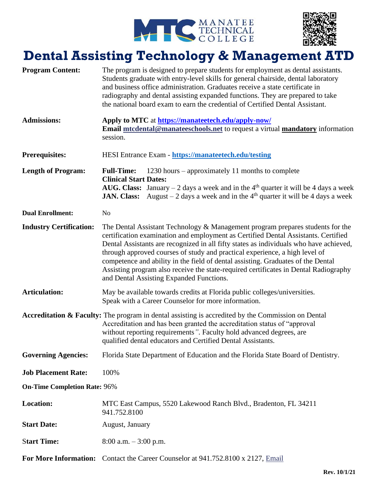



## **Dental Assisting Technology & Management ATD**

| <b>Program Content:</b>             | The program is designed to prepare students for employment as dental assistants.<br>Students graduate with entry-level skills for general chairside, dental laboratory<br>and business office administration. Graduates receive a state certificate in<br>radiography and dental assisting expanded functions. They are prepared to take<br>the national board exam to earn the credential of Certified Dental Assistant.                                                                                                                                             |
|-------------------------------------|-----------------------------------------------------------------------------------------------------------------------------------------------------------------------------------------------------------------------------------------------------------------------------------------------------------------------------------------------------------------------------------------------------------------------------------------------------------------------------------------------------------------------------------------------------------------------|
| <b>Admissions:</b>                  | Apply to MTC at https://manateetech.edu/apply-now/<br>Email mtcdental@manateeschools.net to request a virtual mandatory information<br>session.                                                                                                                                                                                                                                                                                                                                                                                                                       |
| <b>Prerequisites:</b>               | HESI Entrance Exam - https://manateetech.edu/testing                                                                                                                                                                                                                                                                                                                                                                                                                                                                                                                  |
| <b>Length of Program:</b>           | <b>Full-Time:</b><br>1230 hours – approximately 11 months to complete<br><b>Clinical Start Dates:</b><br>AUG. Class: January – 2 days a week and in the $4th$ quarter it will be 4 days a week<br><b>JAN. Class:</b> August $-2$ days a week and in the 4 <sup>th</sup> quarter it will be 4 days a week                                                                                                                                                                                                                                                              |
| <b>Dual Enrollment:</b>             | N <sub>o</sub>                                                                                                                                                                                                                                                                                                                                                                                                                                                                                                                                                        |
| <b>Industry Certification:</b>      | The Dental Assistant Technology & Management program prepares students for the<br>certification examination and employment as Certified Dental Assistants. Certified<br>Dental Assistants are recognized in all fifty states as individuals who have achieved,<br>through approved courses of study and practical experience, a high level of<br>competence and ability in the field of dental assisting. Graduates of the Dental<br>Assisting program also receive the state-required certificates in Dental Radiography<br>and Dental Assisting Expanded Functions. |
| <b>Articulation:</b>                | May be available towards credits at Florida public colleges/universities.<br>Speak with a Career Counselor for more information.                                                                                                                                                                                                                                                                                                                                                                                                                                      |
|                                     | Accreditation & Faculty: The program in dental assisting is accredited by the Commission on Dental<br>Accreditation and has been granted the accreditation status of "approval"<br>without reporting requirements". Faculty hold advanced degrees, are<br>qualified dental educators and Certified Dental Assistants.                                                                                                                                                                                                                                                 |
| <b>Governing Agencies:</b>          | Florida State Department of Education and the Florida State Board of Dentistry.                                                                                                                                                                                                                                                                                                                                                                                                                                                                                       |
| <b>Job Placement Rate:</b>          | 100%                                                                                                                                                                                                                                                                                                                                                                                                                                                                                                                                                                  |
| <b>On-Time Completion Rate: 96%</b> |                                                                                                                                                                                                                                                                                                                                                                                                                                                                                                                                                                       |
| <b>Location:</b>                    | MTC East Campus, 5520 Lakewood Ranch Blvd., Bradenton, FL 34211<br>941.752.8100                                                                                                                                                                                                                                                                                                                                                                                                                                                                                       |
| <b>Start Date:</b>                  | August, January                                                                                                                                                                                                                                                                                                                                                                                                                                                                                                                                                       |
| <b>Start Time:</b>                  | $8:00$ a.m. $-3:00$ p.m.                                                                                                                                                                                                                                                                                                                                                                                                                                                                                                                                              |
|                                     | For More Information: Contact the Career Counselor at 941.752.8100 x 2127, Email                                                                                                                                                                                                                                                                                                                                                                                                                                                                                      |